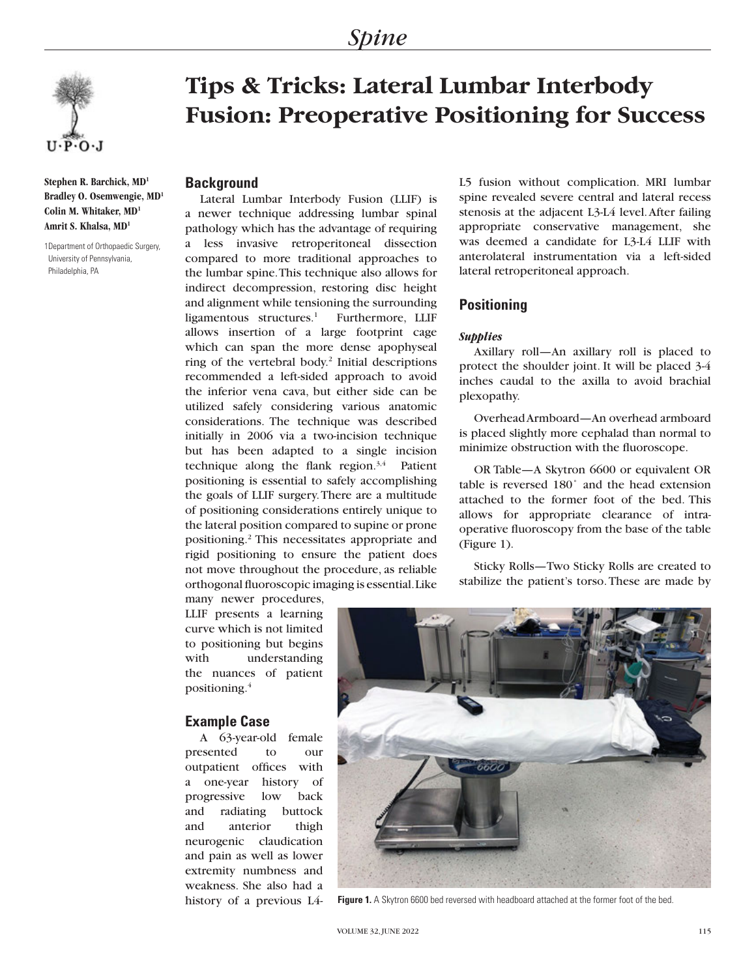

**Stephen R. Barchick, MD1 Bradley O. Osemwengie, MD1 Colin M. Whitaker, MD1 Amrit S. Khalsa, MD1**

1Department of Orthopaedic Surgery, University of Pennsylvania, Philadelphia, PA

# **Tips & Tricks: Lateral Lumbar Interbody Fusion: Preoperative Positioning for Success**

# **Background**

Lateral Lumbar Interbody Fusion (LLIF) is a newer technique addressing lumbar spinal pathology which has the advantage of requiring a less invasive retroperitoneal dissection compared to more traditional approaches to the lumbar spine. This technique also allows for indirect decompression, restoring disc height and alignment while tensioning the surrounding ligamentous structures. $1$  Furthermore, LLIF allows insertion of a large footprint cage which can span the more dense apophyseal ring of the vertebral body.2 Initial descriptions recommended a left-sided approach to avoid the inferior vena cava, but either side can be utilized safely considering various anatomic considerations. The technique was described initially in 2006 via a two-incision technique but has been adapted to a single incision technique along the flank region. $3,4$  Patient positioning is essential to safely accomplishing the goals of LLIF surgery. There are a multitude of positioning considerations entirely unique to the lateral position compared to supine or prone positioning.2 This necessitates appropriate and rigid positioning to ensure the patient does not move throughout the procedure, as reliable orthogonal fluoroscopic imaging is essential. Like

L5 fusion without complication. MRI lumbar spine revealed severe central and lateral recess stenosis at the adjacent L3-L4 level. After failing appropriate conservative management, she was deemed a candidate for L3-L4 LLIF with anterolateral instrumentation via a left-sided lateral retroperitoneal approach.

## **Positioning**

### *Supplies*

Axillary roll—An axillary roll is placed to protect the shoulder joint. It will be placed 3-4 inches caudal to the axilla to avoid brachial plexopathy.

Overhead Armboard—An overhead armboard is placed slightly more cephalad than normal to minimize obstruction with the fluoroscope.

OR Table—A Skytron 6600 or equivalent OR table is reversed 180˚ and the head extension attached to the former foot of the bed. This allows for appropriate clearance of intraoperative fluoroscopy from the base of the table (Figure 1).

Sticky Rolls—Two Sticky Rolls are created to stabilize the patient's torso. These are made by

many newer procedures, LLIF presents a learning curve which is not limited to positioning but begins with understanding the nuances of patient positioning.4

# **Example Case**

A 63-year-old female presented to our outpatient offices with a one-year history of progressive low back and radiating buttock and anterior thigh neurogenic claudication and pain as well as lower extremity numbness and weakness. She also had a history of a previous L4-



**Figure 1.** A Skytron 6600 bed reversed with headboard attached at the former foot of the bed.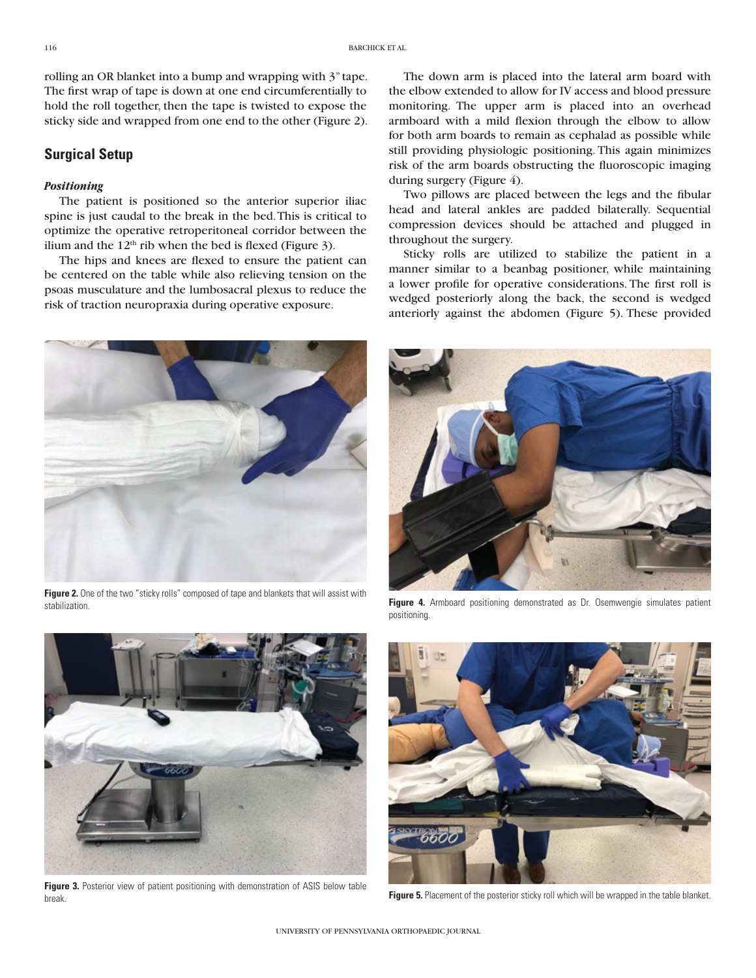rolling an OR blanket into a bump and wrapping with 3" tape. The first wrap of tape is down at one end circumferentially to hold the roll together, then the tape is twisted to expose the sticky side and wrapped from one end to the other (Figure 2).

## **Surgical Setup**

#### *Positioning*

The patient is positioned so the anterior superior iliac spine is just caudal to the break in the bed. This is critical to optimize the operative retroperitoneal corridor between the ilium and the  $12<sup>th</sup>$  rib when the bed is flexed (Figure 3).

The hips and knees are flexed to ensure the patient can be centered on the table while also relieving tension on the psoas musculature and the lumbosacral plexus to reduce the risk of traction neuropraxia during operative exposure.

The down arm is placed into the lateral arm board with the elbow extended to allow for IV access and blood pressure monitoring. The upper arm is placed into an overhead armboard with a mild flexion through the elbow to allow for both arm boards to remain as cephalad as possible while still providing physiologic positioning. This again minimizes risk of the arm boards obstructing the fluoroscopic imaging during surgery (Figure 4).

Two pillows are placed between the legs and the fibular head and lateral ankles are padded bilaterally. Sequential compression devices should be attached and plugged in throughout the surgery.

Sticky rolls are utilized to stabilize the patient in a manner similar to a beanbag positioner, while maintaining a lower profile for operative considerations. The first roll is wedged posteriorly along the back, the second is wedged anteriorly against the abdomen (Figure 5). These provided

**Figure 2.** One of the two "sticky rolls" composed of tape and blankets that will assist with stabilization.







**Figure 3.** Posterior view of patient positioning with demonstration of ASIS below table break.



Figure 5. Placement of the posterior sticky roll which will be wrapped in the table blanket.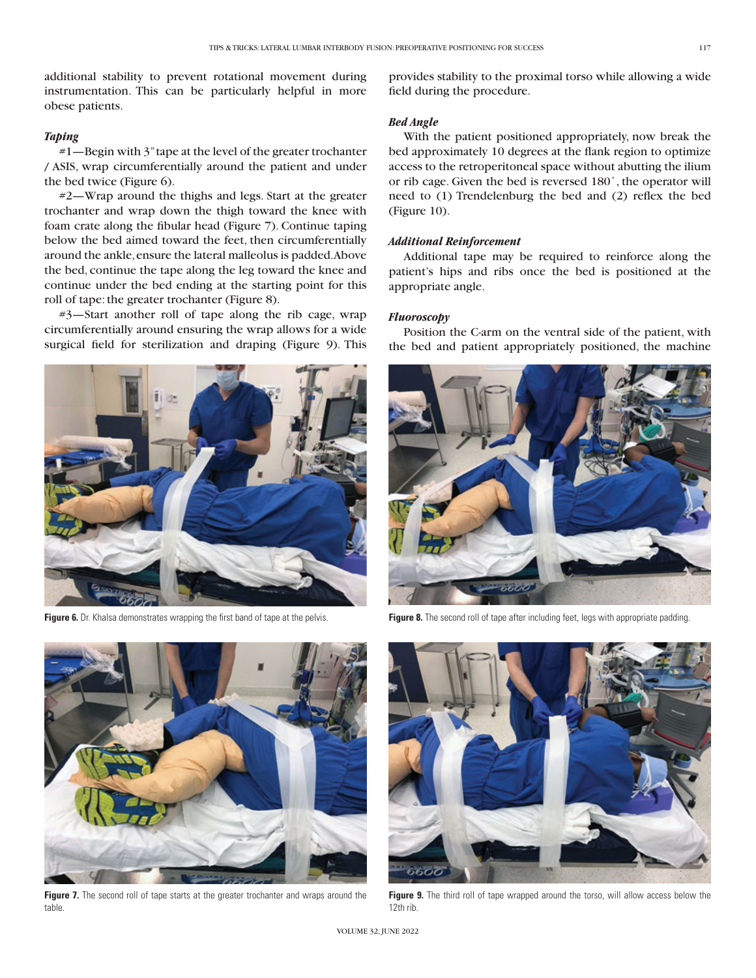additional stability to prevent rotational movement during instrumentation. This can be particularly helpful in more obese patients.

#### *Taping*

#1—Begin with 3" tape at the level of the greater trochanter / ASIS, wrap circumferentially around the patient and under the bed twice (Figure 6).

#2—Wrap around the thighs and legs. Start at the greater trochanter and wrap down the thigh toward the knee with foam crate along the fibular head (Figure 7). Continue taping below the bed aimed toward the feet, then circumferentially around the ankle, ensure the lateral malleolus is padded. Above the bed, continue the tape along the leg toward the knee and continue under the bed ending at the starting point for this roll of tape: the greater trochanter (Figure 8).

#3—Start another roll of tape along the rib cage, wrap circumferentially around ensuring the wrap allows for a wide surgical field for sterilization and draping (Figure 9). This

Figure 6. Dr. Khalsa demonstrates wrapping the first band of tape at the pelvis.



Figure 7. The second roll of tape starts at the greater trochanter and wraps around the table.

provides stability to the proximal torso while allowing a wide field during the procedure.

#### *Bed Angle*

With the patient positioned appropriately, now break the bed approximately 10 degrees at the flank region to optimize access to the retroperitoneal space without abutting the ilium or rib cage. Given the bed is reversed 180˚, the operator will need to (1) Trendelenburg the bed and (2) reflex the bed (Figure 10).

#### *Additional Reinforcement*

Additional tape may be required to reinforce along the patient's hips and ribs once the bed is positioned at the appropriate angle.

#### *Fluoroscopy*

Position the C-arm on the ventral side of the patient, with the bed and patient appropriately positioned, the machine



Figure 8. The second roll of tape after including feet, legs with appropriate padding.



Figure 9. The third roll of tape wrapped around the torso, will allow access below the 12th rib.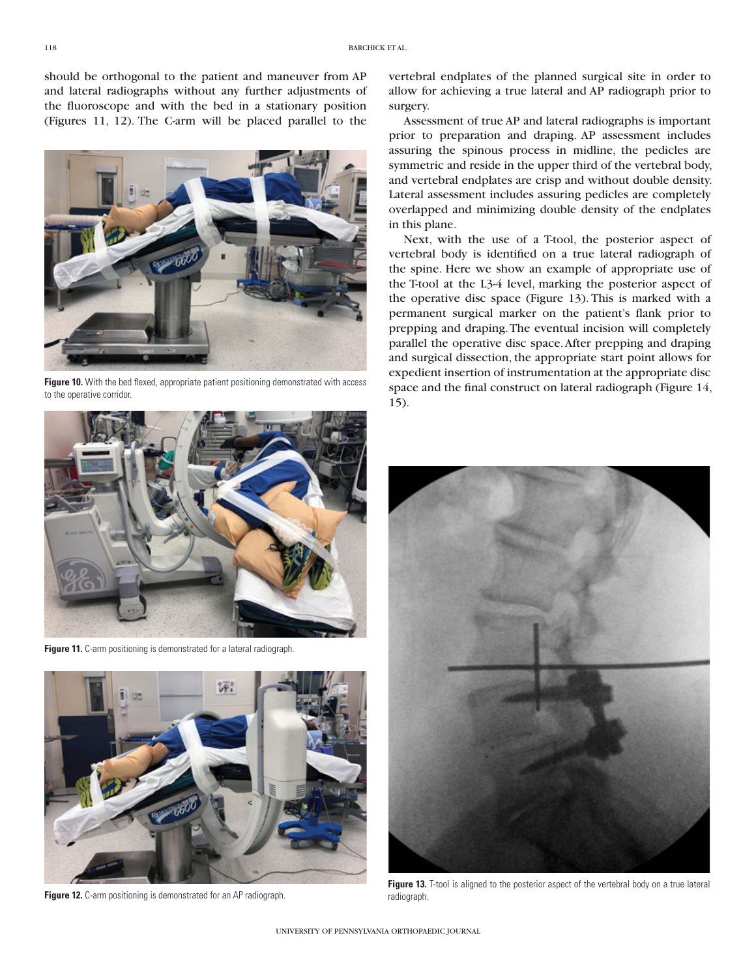should be orthogonal to the patient and maneuver from AP and lateral radiographs without any further adjustments of the fluoroscope and with the bed in a stationary position (Figures 11, 12). The C-arm will be placed parallel to the



**Figure 10.** With the bed flexed, appropriate patient positioning demonstrated with access to the operative corridor.



**Figure 11.** C-arm positioning is demonstrated for a lateral radiograph.



**Figure 12.** C-arm positioning is demonstrated for an AP radiograph.

vertebral endplates of the planned surgical site in order to allow for achieving a true lateral and AP radiograph prior to surgery.

Assessment of true AP and lateral radiographs is important prior to preparation and draping. AP assessment includes assuring the spinous process in midline, the pedicles are symmetric and reside in the upper third of the vertebral body, and vertebral endplates are crisp and without double density. Lateral assessment includes assuring pedicles are completely overlapped and minimizing double density of the endplates in this plane.

Next, with the use of a T-tool, the posterior aspect of vertebral body is identified on a true lateral radiograph of the spine. Here we show an example of appropriate use of the T-tool at the L3-4 level, marking the posterior aspect of the operative disc space (Figure 13). This is marked with a permanent surgical marker on the patient's flank prior to prepping and draping. The eventual incision will completely parallel the operative disc space. After prepping and draping and surgical dissection, the appropriate start point allows for expedient insertion of instrumentation at the appropriate disc space and the final construct on lateral radiograph (Figure 14, 15).



Figure 13. T-tool is aligned to the posterior aspect of the vertebral body on a true lateral radiograph.